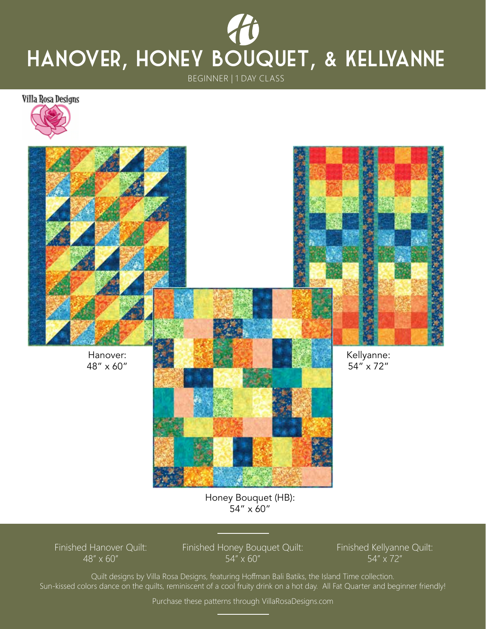## BEGINNER | 1 DAY CLASS Hanover, honey Bouquet, & Kellyanne

Villa Rosa Designs





Honey Bouquet (HB): 54" x 60"

Finished Hanover Quilt: 48" x 60"

Finished Honey Bouquet Quilt: 54" x 60"

Finished Kellyanne Quilt: 54" x 72"

Quilt designs by Villa Rosa Designs, featuring Hoffman Bali Batiks, the Island Time collection. Sun-kissed colors dance on the quilts, reminiscent of a cool fruity drink on a hot day. All Fat Quarter and beginner friendly!

Purchase these patterns through VillaRosaDesigns.com